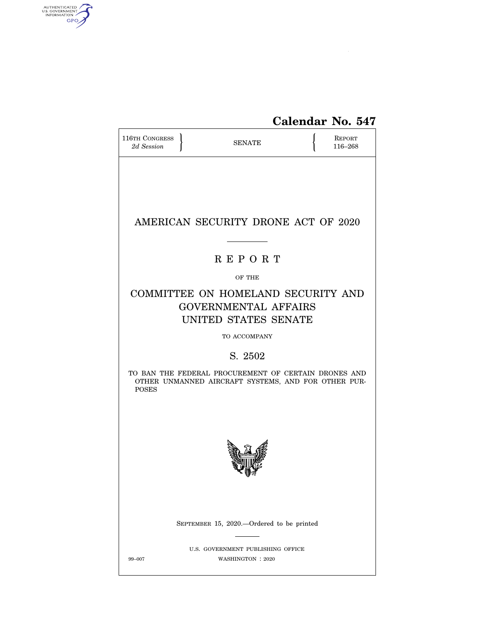

# **Calendar No. 547**

| 116TH CONGRESS<br>2d Session |  | <b>SENATE</b>                                                                                               |  | REPORT<br>116-268 |  |  |  |  |
|------------------------------|--|-------------------------------------------------------------------------------------------------------------|--|-------------------|--|--|--|--|
|                              |  | AMERICAN SECURITY DRONE ACT OF 2020                                                                         |  |                   |  |  |  |  |
|                              |  | <b>REPORT</b>                                                                                               |  |                   |  |  |  |  |
|                              |  | OF THE                                                                                                      |  |                   |  |  |  |  |
|                              |  | COMMITTEE ON HOMELAND SECURITY AND<br><b>GOVERNMENTAL AFFAIRS</b><br>UNITED STATES SENATE                   |  |                   |  |  |  |  |
|                              |  | TO ACCOMPANY                                                                                                |  |                   |  |  |  |  |
|                              |  | S. 2502                                                                                                     |  |                   |  |  |  |  |
| <b>POSES</b>                 |  | TO BAN THE FEDERAL PROCUREMENT OF CERTAIN DRONES AND<br>OTHER UNMANNED AIRCRAFT SYSTEMS, AND FOR OTHER PUR- |  |                   |  |  |  |  |
|                              |  |                                                                                                             |  |                   |  |  |  |  |
|                              |  | SEPTEMBER 15, 2020.—Ordered to be printed                                                                   |  |                   |  |  |  |  |
| 99-007                       |  | U.S. GOVERNMENT PUBLISHING OFFICE<br>WASHINGTON : 2020                                                      |  |                   |  |  |  |  |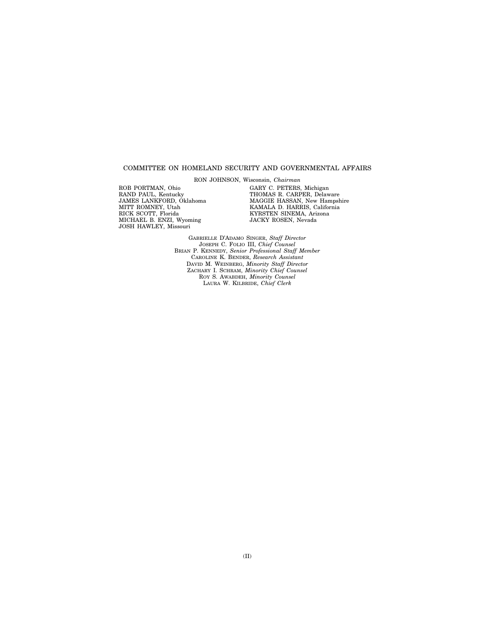#### COMMITTEE ON HOMELAND SECURITY AND GOVERNMENTAL AFFAIRS

RON JOHNSON, Wisconsin, *Chairman* 

ROB PORTMAN, Ohio RAND PAUL, Kentucky JAMES LANKFORD, Oklahoma MITT ROMNEY, Utah RICK SCOTT, Florida MICHAEL B. ENZI, Wyoming JOSH HAWLEY, Missouri

GARY C. PETERS, Michigan THOMAS R. CARPER, Delaware MAGGIE HASSAN, New Hampshire KAMALA D. HARRIS, California KYRSTEN SINEMA, Arizona JACKY ROSEN, Nevada

GABRIELLE D'ADAMO SINGER, *Staff Director*  JOSEPH C. FOLIO III, *Chief Counsel*  BRIAN P. KENNEDY, *Senior Professional Staff Member*  CAROLINE K. BENDER, *Research Assistant*  DAVID M. WEINBERG, *Minority Staff Director*  ZACHARY I. SCHRAM, *Minority Chief Counsel*  ROY S. AWABDEH, *Minority Counsel*  LAURA W. KILBRIDE, *Chief Clerk*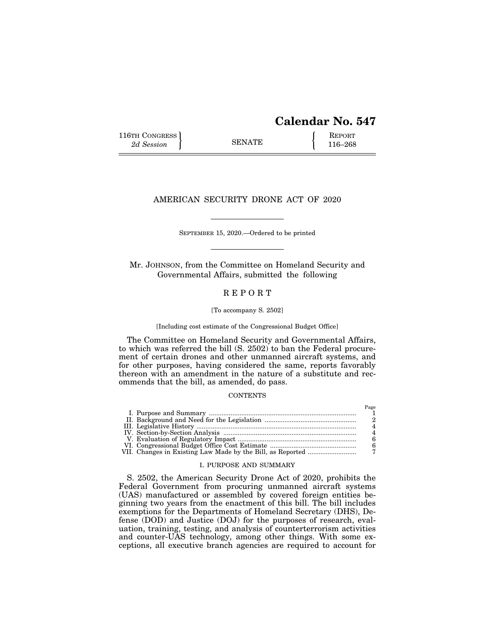## **Calendar No. 547**

116TH CONGRESS **REPORT** 2d Session **116–268** 

## AMERICAN SECURITY DRONE ACT OF 2020

SEPTEMBER 15, 2020.—Ordered to be printed

Mr. JOHNSON, from the Committee on Homeland Security and Governmental Affairs, submitted the following

## R E P O R T

#### [To accompany S. 2502]

#### [Including cost estimate of the Congressional Budget Office]

The Committee on Homeland Security and Governmental Affairs, to which was referred the bill (S. 2502) to ban the Federal procurement of certain drones and other unmanned aircraft systems, and for other purposes, having considered the same, reports favorably thereon with an amendment in the nature of a substitute and recommends that the bill, as amended, do pass.

#### **CONTENTS**

#### I. PURPOSE AND SUMMARY

S. 2502, the American Security Drone Act of 2020, prohibits the Federal Government from procuring unmanned aircraft systems (UAS) manufactured or assembled by covered foreign entities beginning two years from the enactment of this bill. The bill includes exemptions for the Departments of Homeland Secretary (DHS), Defense (DOD) and Justice (DOJ) for the purposes of research, evaluation, training, testing, and analysis of counterterrorism activities and counter-UAS technology, among other things. With some exceptions, all executive branch agencies are required to account for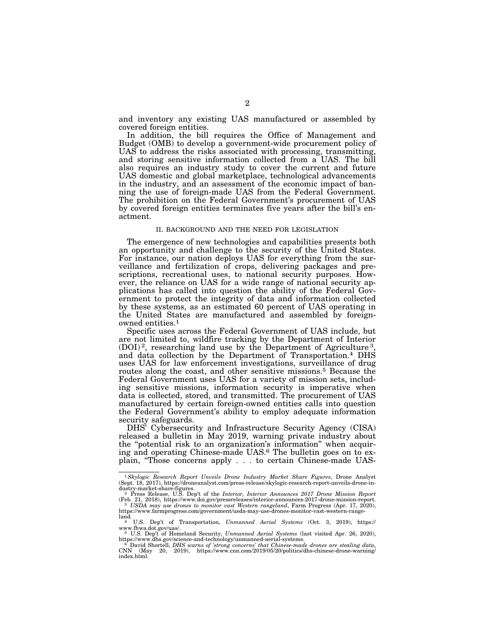and inventory any existing UAS manufactured or assembled by covered foreign entities.

In addition, the bill requires the Office of Management and Budget (OMB) to develop a government-wide procurement policy of UAS to address the risks associated with processing, transmitting, and storing sensitive information collected from a UAS. The bill also requires an industry study to cover the current and future UAS domestic and global marketplace, technological advancements in the industry, and an assessment of the economic impact of banning the use of foreign-made UAS from the Federal Government. The prohibition on the Federal Government's procurement of UAS by covered foreign entities terminates five years after the bill's enactment.

#### II. BACKGROUND AND THE NEED FOR LEGISLATION

The emergence of new technologies and capabilities presents both an opportunity and challenge to the security of the United States. For instance, our nation deploys UAS for everything from the surveillance and fertilization of crops, delivering packages and prescriptions, recreational uses, to national security purposes. However, the reliance on UAS for a wide range of national security applications has called into question the ability of the Federal Government to protect the integrity of data and information collected by these systems, as an estimated 60 percent of UAS operating in the United States are manufactured and assembled by foreignowned entities.1

Specific uses across the Federal Government of UAS include, but are not limited to, wildfire tracking by the Department of Interior  $(DOI)<sup>2</sup>$ , researching land use by the Department of Agriculture<sup>3</sup>, and data collection by the Department of Transportation.4 DHS uses UAS for law enforcement investigations, surveillance of drug routes along the coast, and other sensitive missions.<sup>5</sup> Because the Federal Government uses UAS for a variety of mission sets, including sensitive missions, information security is imperative when data is collected, stored, and transmitted. The procurement of UAS manufactured by certain foreign-owned entities calls into question the Federal Government's ability to employ adequate information security safeguards.

DHS' Cybersecurity and Infrastructure Security Agency (CISA) released a bulletin in May 2019, warning private industry about the ''potential risk to an organization's information'' when acquiring and operating Chinese-made UAS.6 The bulletin goes on to explain, "Those concerns apply . . . to certain Chinese-made UAS-

<sup>1</sup>*Skylogic Research Report Unveils Drone Industry Market Share Figures*, Drone Analyst (Sept. 18, 2017), https://droneanalyst.com/press-release/skylogic-research-report-unveils-drone-in-

dustry-market-share-figures. 2 Press Release, U.S. Dep't of the *Interior, Interior Announces 2017 Drone Mission Report*  (Feb. 21, 2018), https://www.doi.gov/pressreleases/interior-announces-2017-drone-mission-report. 3 *USDA may use drones to monitor vast Western rangeland*, Farm Progress (Apr. 17, 2020), https://www.farmprogress.com/government/usda-may-use-drones-monitor-vast-western-range-

land. 4 U.S. Dep't of Transportation, *Unmanned Aerial Systems* (Oct. 3, 2019), https://

www.fhwa.dot.gov/uas/.<br>5 U.S. Dep't of Homeland Security, *Unmanned Aerial Systems* (last visited Apr. 26, 2020),<br>https://www.dhs.gov/science-and-technology/unmanned-aerial-systems.

https://www.dhs.gov/science-and-technology/unmanned-aerial-systems.<br><sup>6</sup> David Shortell, *DHS warns of 'strong concerns' that Chinese-made drones are stealing data,<br>CNN (May 20, 2019), https://www.cnn.com/2019/05/20/politic* index.html.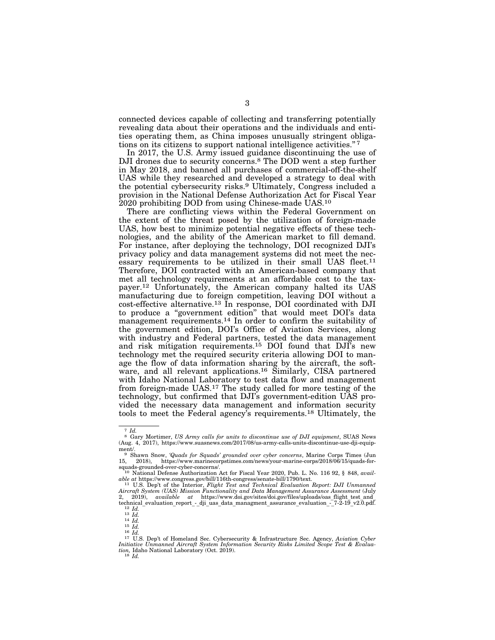connected devices capable of collecting and transferring potentially revealing data about their operations and the individuals and entities operating them, as China imposes unusually stringent obligations on its citizens to support national intelligence activities."<sup>7</sup>

In 2017, the U.S. Army issued guidance discontinuing the use of DJI drones due to security concerns.8 The DOD went a step further in May 2018, and banned all purchases of commercial-off-the-shelf UAS while they researched and developed a strategy to deal with the potential cybersecurity risks.9 Ultimately, Congress included a provision in the National Defense Authorization Act for Fiscal Year 2020 prohibiting DOD from using Chinese-made UAS.10

There are conflicting views within the Federal Government on the extent of the threat posed by the utilization of foreign-made UAS, how best to minimize potential negative effects of these technologies, and the ability of the American market to fill demand. For instance, after deploying the technology, DOI recognized DJI's privacy policy and data management systems did not meet the necessary requirements to be utilized in their small UAS fleet.<sup>11</sup> Therefore, DOI contracted with an American-based company that met all technology requirements at an affordable cost to the taxpayer.12 Unfortunately, the American company halted its UAS manufacturing due to foreign competition, leaving DOI without a cost-effective alternative.13 In response, DOI coordinated with DJI to produce a ''government edition'' that would meet DOI's data management requirements.14 In order to confirm the suitability of the government edition, DOI's Office of Aviation Services, along with industry and Federal partners, tested the data management and risk mitigation requirements.15 DOI found that DJI's new technology met the required security criteria allowing DOI to manage the flow of data information sharing by the aircraft, the software, and all relevant applications.<sup>16</sup> Similarly, CISA partnered with Idaho National Laboratory to test data flow and management from foreign-made UAS.<sup>17</sup> The study called for more testing of the technology, but confirmed that DJI's government-edition UAS provided the necessary data management and information security tools to meet the Federal agency's requirements.18 Ultimately, the

<sup>7</sup> *Id.* <sup>8</sup> Gary Mortimer, *US Army calls for units to discontinue use of DJI equipment*, SUAS News (Aug. 4, 2017), https://www.suasnews.com/2017/08/us-army-calls-units-discontinue-use-dji-equip-

ment/.<br><sup>9</sup> Shawn Snow, *'Quads for Squads' grounded over cyber concerns*, Marine Corps Times (Jun **15, 2018), https://www.marinecorpstimes.com/news/your-marine-corps/2018/06/15/quads-for**squads-grounded-over-cyber-concerns/. 10 National Defense Authorization Act for Fiscal Year 2020, Pub. L. No. 116 92, § 848, *avail-*

*able at* https://www.congress.gov/bill/116th-congress/senate-bill/1790/text. 11 U.S. Dep't of the Interior, *Flight Test and Technical Evaluation Report: DJI Unmanned* 

*Aircraft System (UAS) Mission Functionality and Data Management Assurance Assessment* (July 2, 2019), *available at* https://www.doi.gov/sites/doi.gov/files/uploads/oas\_flight\_test\_and\_technical\_evaluation\_report\_-\_dji\_uas\_data\_managment\_assurance\_evaluation\_-\_7-2-19\_v2.0.pdf.

technical\_evaluation\_report\_-\_dji\_uas\_data\_managment\_assurance\_evaluation\_-\_7-2-19\_v2.0.pdf.<br>
<sup>12</sup> Id.<br>
<sup>13</sup> Id.<br>
<sup>14</sup> Id.<br>
<sup>15</sup> Id.<br>
<sup>16</sup> Id.<br>
<sup>17</sup> U.S. Dep't of Homeland Sec. Cybersecurity & Infrastructure Sec. Agency, *tion,* Idaho National Laboratory (Oct. 2019). 18 *Id.*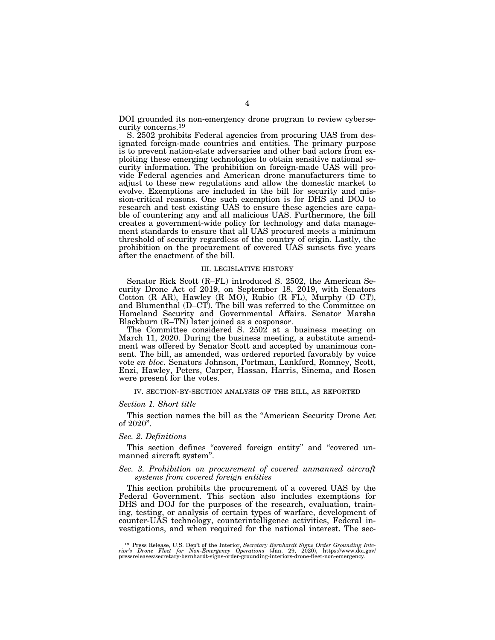DOI grounded its non-emergency drone program to review cybersecurity concerns.19

S. 2502 prohibits Federal agencies from procuring UAS from designated foreign-made countries and entities. The primary purpose is to prevent nation-state adversaries and other bad actors from exploiting these emerging technologies to obtain sensitive national security information. The prohibition on foreign-made UAS will provide Federal agencies and American drone manufacturers time to adjust to these new regulations and allow the domestic market to evolve. Exemptions are included in the bill for security and mission-critical reasons. One such exemption is for DHS and DOJ to research and test existing UAS to ensure these agencies are capable of countering any and all malicious UAS. Furthermore, the bill creates a government-wide policy for technology and data management standards to ensure that all UAS procured meets a minimum threshold of security regardless of the country of origin. Lastly, the prohibition on the procurement of covered UAS sunsets five years after the enactment of the bill.

#### III. LEGISLATIVE HISTORY

Senator Rick Scott (R–FL) introduced S. 2502, the American Security Drone Act of 2019, on September 18, 2019, with Senators Cotton (R–AR), Hawley (R–MO), Rubio (R–FL), Murphy (D–CT), and Blumenthal (D–CT). The bill was referred to the Committee on Homeland Security and Governmental Affairs. Senator Marsha Blackburn (R–TN) later joined as a cosponsor.

The Committee considered S. 2502 at a business meeting on March 11, 2020. During the business meeting, a substitute amendment was offered by Senator Scott and accepted by unanimous consent. The bill, as amended, was ordered reported favorably by voice vote *en bloc*. Senators Johnson, Portman, Lankford, Romney, Scott, Enzi, Hawley, Peters, Carper, Hassan, Harris, Sinema, and Rosen were present for the votes.

#### IV. SECTION-BY-SECTION ANALYSIS OF THE BILL, AS REPORTED

#### *Section 1. Short title*

This section names the bill as the ''American Security Drone Act of 2020''.

#### *Sec. 2. Definitions*

This section defines "covered foreign entity" and "covered unmanned aircraft system''.

#### *Sec. 3. Prohibition on procurement of covered unmanned aircraft systems from covered foreign entities*

This section prohibits the procurement of a covered UAS by the Federal Government. This section also includes exemptions for DHS and DOJ for the purposes of the research, evaluation, training, testing, or analysis of certain types of warfare, development of counter-UAS technology, counterintelligence activities, Federal investigations, and when required for the national interest. The sec-

 $^{19}$  Press Release, U.S. Dep't of the Interior, *Secretary Bernhardt Signs Order Grounding Interior's Drone Fleet for Non-Emergency Operations (Jan. 29, 2020), https://www.doi.gov/ pressreleases/secretary-bernhardt-sign*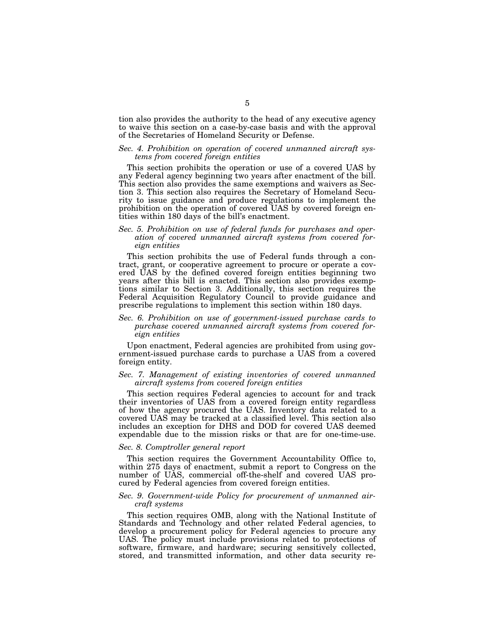tion also provides the authority to the head of any executive agency to waive this section on a case-by-case basis and with the approval of the Secretaries of Homeland Security or Defense.

#### *Sec. 4. Prohibition on operation of covered unmanned aircraft systems from covered foreign entities*

This section prohibits the operation or use of a covered UAS by any Federal agency beginning two years after enactment of the bill. This section also provides the same exemptions and waivers as Section 3. This section also requires the Secretary of Homeland Security to issue guidance and produce regulations to implement the prohibition on the operation of covered UAS by covered foreign entities within 180 days of the bill's enactment.

#### *Sec. 5. Prohibition on use of federal funds for purchases and operation of covered unmanned aircraft systems from covered foreign entities*

This section prohibits the use of Federal funds through a contract, grant, or cooperative agreement to procure or operate a covered UAS by the defined covered foreign entities beginning two years after this bill is enacted. This section also provides exemptions similar to Section 3. Additionally, this section requires the Federal Acquisition Regulatory Council to provide guidance and prescribe regulations to implement this section within 180 days.

#### *Sec. 6. Prohibition on use of government-issued purchase cards to purchase covered unmanned aircraft systems from covered foreign entities*

Upon enactment, Federal agencies are prohibited from using government-issued purchase cards to purchase a UAS from a covered foreign entity.

#### *Sec. 7. Management of existing inventories of covered unmanned aircraft systems from covered foreign entities*

This section requires Federal agencies to account for and track their inventories of UAS from a covered foreign entity regardless of how the agency procured the UAS. Inventory data related to a covered UAS may be tracked at a classified level. This section also includes an exception for DHS and DOD for covered UAS deemed expendable due to the mission risks or that are for one-time-use.

#### *Sec. 8. Comptroller general report*

This section requires the Government Accountability Office to, within 275 days of enactment, submit a report to Congress on the number of UAS, commercial off-the-shelf and covered UAS procured by Federal agencies from covered foreign entities.

#### *Sec. 9. Government-wide Policy for procurement of unmanned aircraft systems*

This section requires OMB, along with the National Institute of Standards and Technology and other related Federal agencies, to develop a procurement policy for Federal agencies to procure any UAS. The policy must include provisions related to protections of software, firmware, and hardware; securing sensitively collected, stored, and transmitted information, and other data security re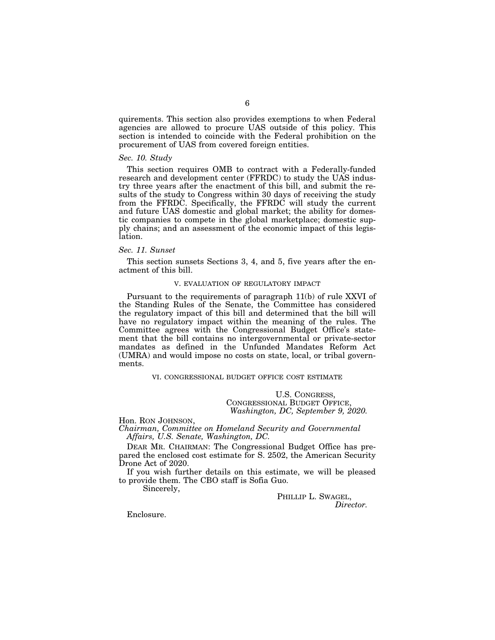quirements. This section also provides exemptions to when Federal agencies are allowed to procure UAS outside of this policy. This section is intended to coincide with the Federal prohibition on the procurement of UAS from covered foreign entities.

#### *Sec. 10. Study*

This section requires OMB to contract with a Federally-funded research and development center (FFRDC) to study the UAS industry three years after the enactment of this bill, and submit the results of the study to Congress within 30 days of receiving the study from the FFRDC. Specifically, the FFRDC will study the current and future UAS domestic and global market; the ability for domestic companies to compete in the global marketplace; domestic supply chains; and an assessment of the economic impact of this legislation.

#### *Sec. 11. Sunset*

This section sunsets Sections 3, 4, and 5, five years after the enactment of this bill.

#### V. EVALUATION OF REGULATORY IMPACT

Pursuant to the requirements of paragraph 11(b) of rule XXVI of the Standing Rules of the Senate, the Committee has considered the regulatory impact of this bill and determined that the bill will have no regulatory impact within the meaning of the rules. The Committee agrees with the Congressional Budget Office's statement that the bill contains no intergovernmental or private-sector mandates as defined in the Unfunded Mandates Reform Act (UMRA) and would impose no costs on state, local, or tribal governments.

VI. CONGRESSIONAL BUDGET OFFICE COST ESTIMATE

U.S. CONGRESS, CONGRESSIONAL BUDGET OFFICE, *Washington, DC, September 9, 2020.* 

Hon. RON JOHNSON,

*Chairman, Committee on Homeland Security and Governmental Affairs, U.S. Senate, Washington, DC.* 

DEAR MR. CHAIRMAN: The Congressional Budget Office has prepared the enclosed cost estimate for S. 2502, the American Security Drone Act of 2020.

If you wish further details on this estimate, we will be pleased to provide them. The CBO staff is Sofia Guo.

Sincerely,

PHILLIP L. SWAGEL, *Director.* 

Enclosure.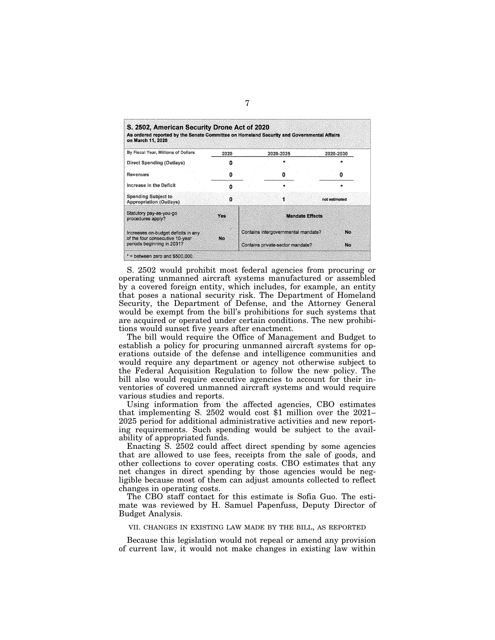| By Fiscal Year, Millions of Dollars                           | 2020       |                                     | 2020-2025                        |  | 2020-2030     |  |
|---------------------------------------------------------------|------------|-------------------------------------|----------------------------------|--|---------------|--|
| Direct Spending (Outlays)                                     | n          |                                     |                                  |  |               |  |
| Revenues                                                      | 0          |                                     |                                  |  |               |  |
| Increase in the Deficit                                       | Ω          |                                     | $\star$                          |  |               |  |
| <b>Spending Subject to</b><br>Appropriation (Outlays)         | o          |                                     |                                  |  | not estimated |  |
| Statutory pay-as-you-go<br>procedures apply?                  | <b>Yes</b> | <b>Mandate Effects</b>              |                                  |  |               |  |
| Increases on-budget deficits in any                           | No         | Contains intergovernmental mandate? |                                  |  | No            |  |
| of the four consecutive 10-year<br>periods beginning in 2031? |            |                                     | Contains private-sector mandate? |  | No.           |  |

S. 2502 would prohibit most federal agencies from procuring or operating unmanned aircraft systems manufactured or assembled by a covered foreign entity, which includes, for example, an entity that poses a national security risk. The Department of Homeland Security, the Department of Defense, and the Attorney General would be exempt from the bill's prohibitions for such systems that are acquired or operated under certain conditions. The new prohibitions would sunset five years after enactment.

The bill would require the Office of Management and Budget to establish a policy for procuring unmanned aircraft systems for operations outside of the defense and intelligence communities and would require any department or agency not otherwise subject to the Federal Acquisition Regulation to follow the new policy. The bill also would require executive agencies to account for their inventories of covered unmanned aircraft systems and would require various studies and reports.

Using information from the affected agencies, CBO estimates that implementing S. 2502 would cost \$1 million over the 2021– 2025 period for additional administrative activities and new reporting requirements. Such spending would be subject to the availability of appropriated funds.

Enacting S. 2502 could affect direct spending by some agencies that are allowed to use fees, receipts from the sale of goods, and other collections to cover operating costs. CBO estimates that any net changes in direct spending by those agencies would be negligible because most of them can adjust amounts collected to reflect changes in operating costs.

The CBO staff contact for this estimate is Sofia Guo. The estimate was reviewed by H. Samuel Papenfuss, Deputy Director of Budget Analysis.

VII. CHANGES IN EXISTING LAW MADE BY THE BILL, AS REPORTED

Because this legislation would not repeal or amend any provision of current law, it would not make changes in existing law within